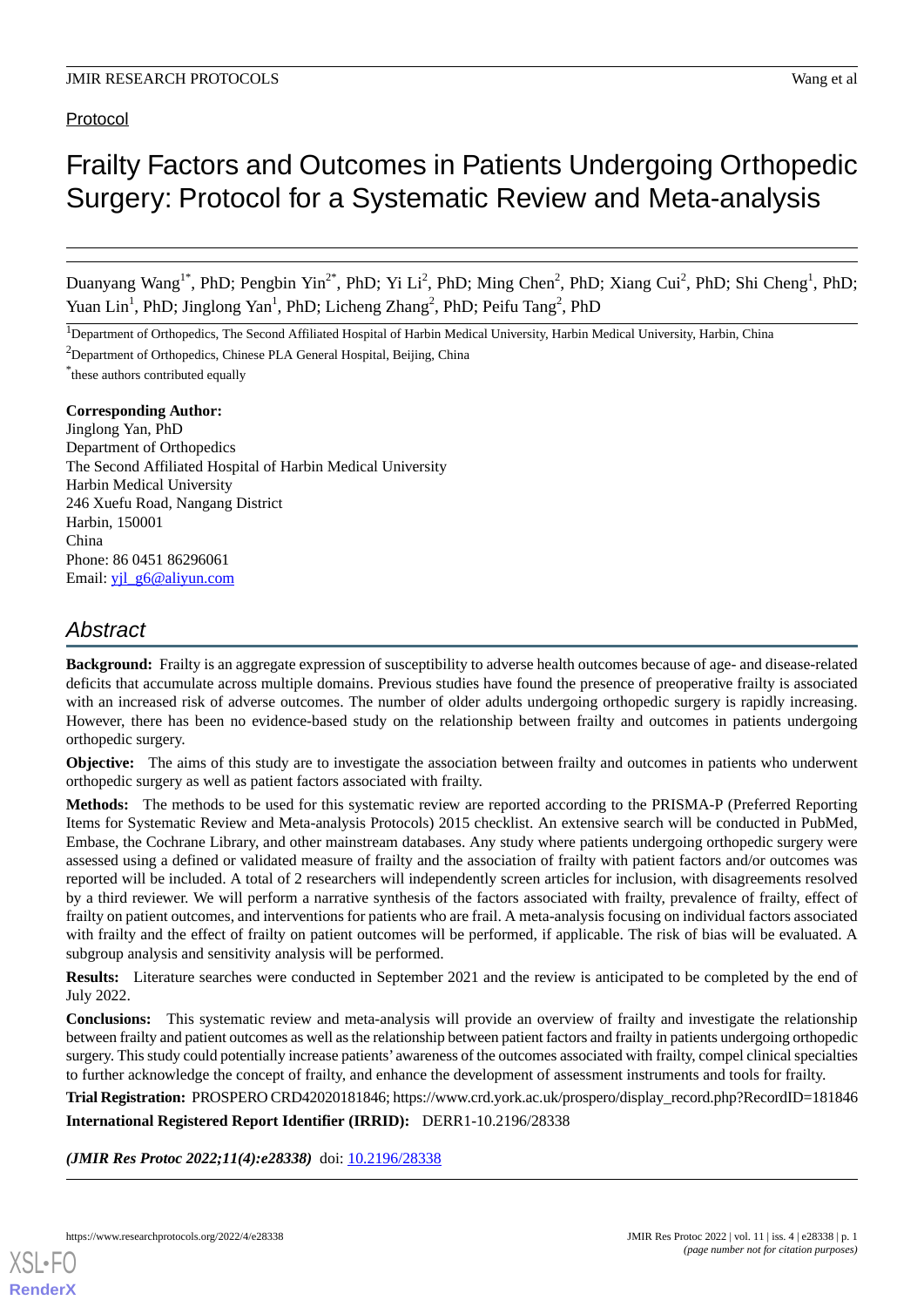Protocol

# Frailty Factors and Outcomes in Patients Undergoing Orthopedic Surgery: Protocol for a Systematic Review and Meta-analysis

Duanyang Wang<sup>1\*</sup>, PhD; Pengbin Yin<sup>2\*</sup>, PhD; Yi Li<sup>2</sup>, PhD; Ming Chen<sup>2</sup>, PhD; Xiang Cui<sup>2</sup>, PhD; Shi Cheng<sup>1</sup>, PhD; Yuan Lin<sup>1</sup>, PhD; Jinglong Yan<sup>1</sup>, PhD; Licheng Zhang<sup>2</sup>, PhD; Peifu Tang<sup>2</sup>, PhD

<sup>1</sup>Department of Orthopedics, The Second Affiliated Hospital of Harbin Medical University, Harbin Medical University, Harbin, China

<sup>2</sup>Department of Orthopedics, Chinese PLA General Hospital, Beijing, China

\* these authors contributed equally

**Corresponding Author:** Jinglong Yan, PhD Department of Orthopedics The Second Affiliated Hospital of Harbin Medical University Harbin Medical University 246 Xuefu Road, Nangang District Harbin, 150001 China Phone: 86 0451 86296061 Email: yil\_g6@aliyun.com

# *Abstract*

**Background:** Frailty is an aggregate expression of susceptibility to adverse health outcomes because of age- and disease-related deficits that accumulate across multiple domains. Previous studies have found the presence of preoperative frailty is associated with an increased risk of adverse outcomes. The number of older adults undergoing orthopedic surgery is rapidly increasing. However, there has been no evidence-based study on the relationship between frailty and outcomes in patients undergoing orthopedic surgery.

**Objective:** The aims of this study are to investigate the association between frailty and outcomes in patients who underwent orthopedic surgery as well as patient factors associated with frailty.

**Methods:** The methods to be used for this systematic review are reported according to the PRISMA-P (Preferred Reporting Items for Systematic Review and Meta-analysis Protocols) 2015 checklist. An extensive search will be conducted in PubMed, Embase, the Cochrane Library, and other mainstream databases. Any study where patients undergoing orthopedic surgery were assessed using a defined or validated measure of frailty and the association of frailty with patient factors and/or outcomes was reported will be included. A total of 2 researchers will independently screen articles for inclusion, with disagreements resolved by a third reviewer. We will perform a narrative synthesis of the factors associated with frailty, prevalence of frailty, effect of frailty on patient outcomes, and interventions for patients who are frail. A meta-analysis focusing on individual factors associated with frailty and the effect of frailty on patient outcomes will be performed, if applicable. The risk of bias will be evaluated. A subgroup analysis and sensitivity analysis will be performed.

**Results:** Literature searches were conducted in September 2021 and the review is anticipated to be completed by the end of July 2022.

**Conclusions:** This systematic review and meta-analysis will provide an overview of frailty and investigate the relationship between frailty and patient outcomes as well as the relationship between patient factors and frailty in patients undergoing orthopedic surgery. This study could potentially increase patients' awareness of the outcomes associated with frailty, compel clinical specialties to further acknowledge the concept of frailty, and enhance the development of assessment instruments and tools for frailty.

**Trial Registration:** PROSPERO CRD42020181846; https://www.crd.york.ac.uk/prospero/display\_record.php?RecordID=181846 **International Registered Report Identifier (IRRID):** DERR1-10.2196/28338

(JMIR Res Protoc 2022;11(4):e28338) doi: [10.2196/28338](http://dx.doi.org/10.2196/28338)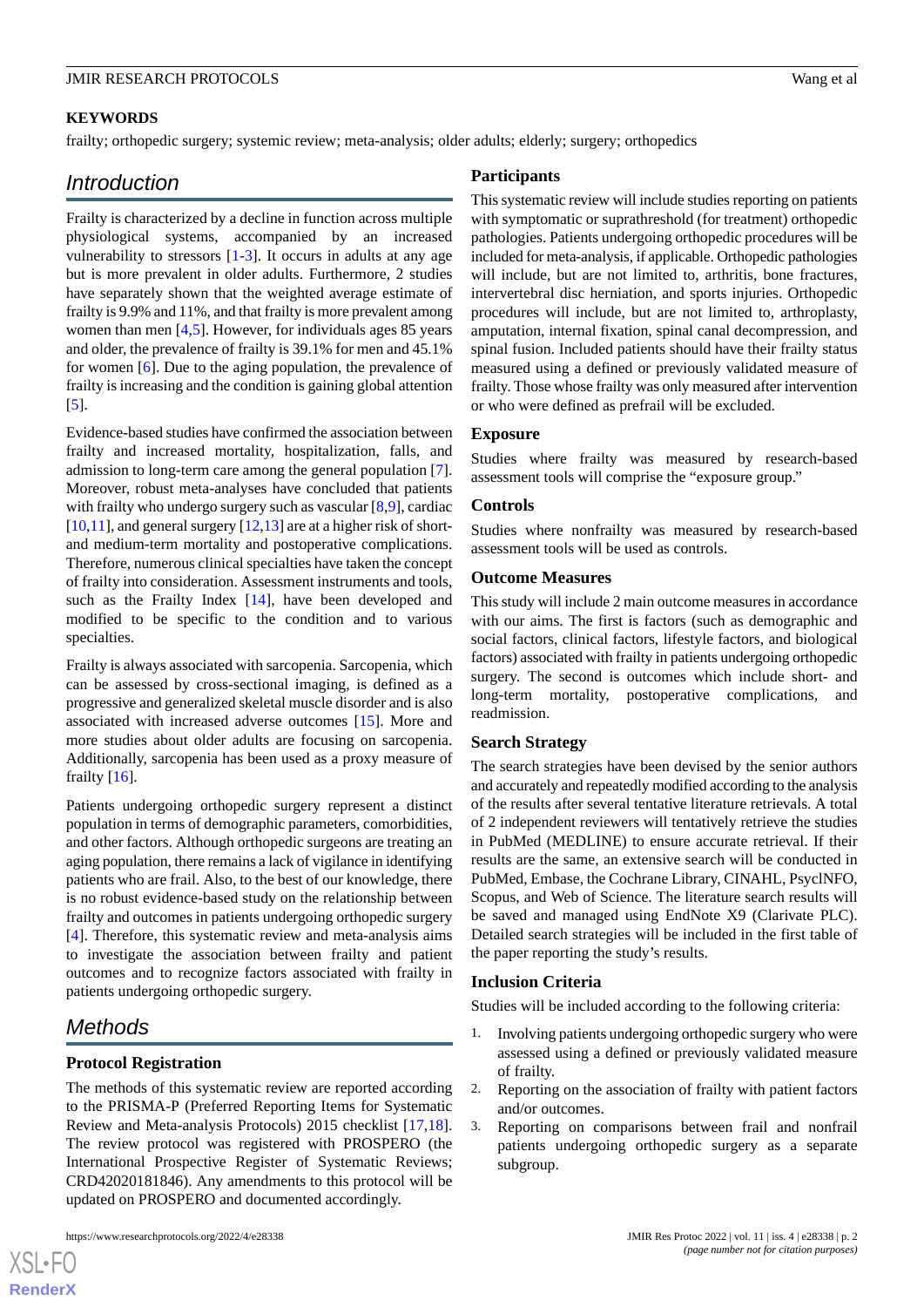## **KEYWORDS**

frailty; orthopedic surgery; systemic review; meta-analysis; older adults; elderly; surgery; orthopedics

# *Introduction*

Frailty is characterized by a decline in function across multiple physiological systems, accompanied by an increased vulnerability to stressors  $[1-3]$  $[1-3]$  $[1-3]$ . It occurs in adults at any age but is more prevalent in older adults. Furthermore, 2 studies have separately shown that the weighted average estimate of frailty is 9.9% and 11%, and that frailty is more prevalent among women than men [[4,](#page-4-1)[5](#page-4-2)]. However, for individuals ages 85 years and older, the prevalence of frailty is 39.1% for men and 45.1% for women [\[6](#page-4-3)]. Due to the aging population, the prevalence of frailty is increasing and the condition is gaining global attention [[5\]](#page-4-2).

Evidence-based studies have confirmed the association between frailty and increased mortality, hospitalization, falls, and admission to long-term care among the general population [[7\]](#page-4-4). Moreover, robust meta-analyses have concluded that patients with frailty who undergo surgery such as vascular [\[8,](#page-4-5)[9](#page-4-6)], cardiac  $[10,11]$  $[10,11]$  $[10,11]$  $[10,11]$ , and general surgery  $[12,13]$  $[12,13]$  $[12,13]$  are at a higher risk of shortand medium-term mortality and postoperative complications. Therefore, numerous clinical specialties have taken the concept of frailty into consideration. Assessment instruments and tools, such as the Frailty Index [\[14](#page-4-11)], have been developed and modified to be specific to the condition and to various specialties.

Frailty is always associated with sarcopenia. Sarcopenia, which can be assessed by cross-sectional imaging, is defined as a progressive and generalized skeletal muscle disorder and is also associated with increased adverse outcomes [[15\]](#page-4-12). More and more studies about older adults are focusing on sarcopenia. Additionally, sarcopenia has been used as a proxy measure of frailty [[16\]](#page-4-13).

Patients undergoing orthopedic surgery represent a distinct population in terms of demographic parameters, comorbidities, and other factors. Although orthopedic surgeons are treating an aging population, there remains a lack of vigilance in identifying patients who are frail. Also, to the best of our knowledge, there is no robust evidence-based study on the relationship between frailty and outcomes in patients undergoing orthopedic surgery [[4\]](#page-4-1). Therefore, this systematic review and meta-analysis aims to investigate the association between frailty and patient outcomes and to recognize factors associated with frailty in patients undergoing orthopedic surgery.

# *Methods*

[XSL](http://www.w3.org/Style/XSL)•FO **[RenderX](http://www.renderx.com/)**

#### **Protocol Registration**

The methods of this systematic review are reported according to the PRISMA-P (Preferred Reporting Items for Systematic Review and Meta-analysis Protocols) 2015 checklist [\[17](#page-4-14),[18\]](#page-4-15). The review protocol was registered with PROSPERO (the International Prospective Register of Systematic Reviews; CRD42020181846). Any amendments to this protocol will be updated on PROSPERO and documented accordingly.

#### **Participants**

This systematic review will include studies reporting on patients with symptomatic or suprathreshold (for treatment) orthopedic pathologies. Patients undergoing orthopedic procedures will be included for meta-analysis, if applicable. Orthopedic pathologies will include, but are not limited to, arthritis, bone fractures, intervertebral disc herniation, and sports injuries. Orthopedic procedures will include, but are not limited to, arthroplasty, amputation, internal fixation, spinal canal decompression, and spinal fusion. Included patients should have their frailty status measured using a defined or previously validated measure of frailty. Those whose frailty was only measured after intervention or who were defined as prefrail will be excluded.

#### **Exposure**

Studies where frailty was measured by research-based assessment tools will comprise the "exposure group."

#### **Controls**

Studies where nonfrailty was measured by research-based assessment tools will be used as controls.

#### **Outcome Measures**

This study will include 2 main outcome measures in accordance with our aims. The first is factors (such as demographic and social factors, clinical factors, lifestyle factors, and biological factors) associated with frailty in patients undergoing orthopedic surgery. The second is outcomes which include short- and long-term mortality, postoperative complications, and readmission.

#### **Search Strategy**

The search strategies have been devised by the senior authors and accurately and repeatedly modified according to the analysis of the results after several tentative literature retrievals. A total of 2 independent reviewers will tentatively retrieve the studies in PubMed (MEDLINE) to ensure accurate retrieval. If their results are the same, an extensive search will be conducted in PubMed, Embase, the Cochrane Library, CINAHL, PsyclNFO, Scopus, and Web of Science. The literature search results will be saved and managed using EndNote X9 (Clarivate PLC). Detailed search strategies will be included in the first table of the paper reporting the study's results.

#### **Inclusion Criteria**

Studies will be included according to the following criteria:

- 1. Involving patients undergoing orthopedic surgery who were assessed using a defined or previously validated measure of frailty.
- 2. Reporting on the association of frailty with patient factors and/or outcomes.
- 3. Reporting on comparisons between frail and nonfrail patients undergoing orthopedic surgery as a separate subgroup.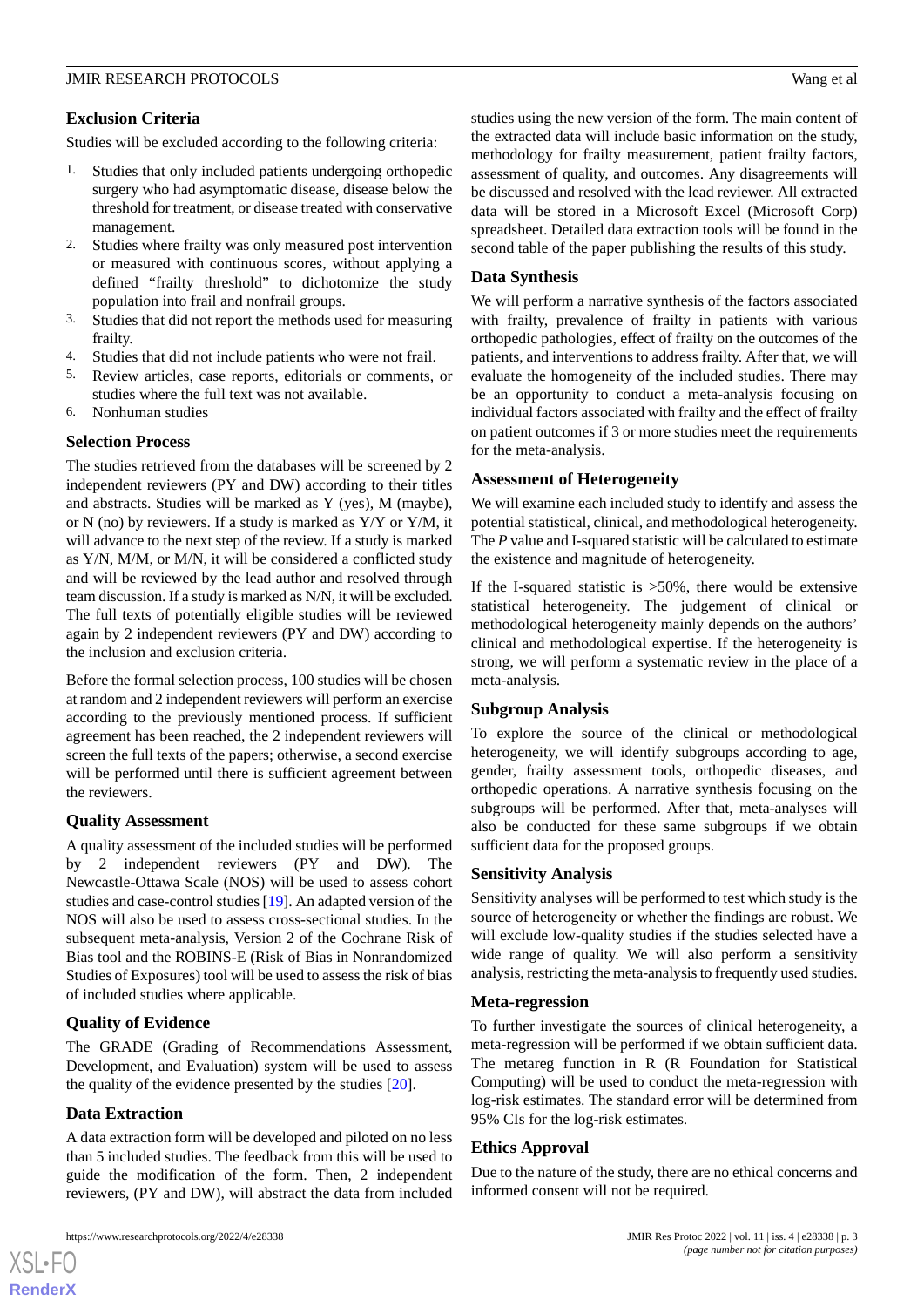# **Exclusion Criteria**

Studies will be excluded according to the following criteria:

- 1. Studies that only included patients undergoing orthopedic surgery who had asymptomatic disease, disease below the threshold for treatment, or disease treated with conservative management.
- 2. Studies where frailty was only measured post intervention or measured with continuous scores, without applying a defined "frailty threshold" to dichotomize the study population into frail and nonfrail groups.
- 3. Studies that did not report the methods used for measuring frailty.
- 4. Studies that did not include patients who were not frail.
- 5. Review articles, case reports, editorials or comments, or studies where the full text was not available.
- 6. Nonhuman studies

## **Selection Process**

The studies retrieved from the databases will be screened by 2 independent reviewers (PY and DW) according to their titles and abstracts. Studies will be marked as Y (yes), M (maybe), or N (no) by reviewers. If a study is marked as Y/Y or Y/M, it will advance to the next step of the review. If a study is marked as Y/N, M/M, or M/N, it will be considered a conflicted study and will be reviewed by the lead author and resolved through team discussion. If a study is marked as N/N, it will be excluded. The full texts of potentially eligible studies will be reviewed again by 2 independent reviewers (PY and DW) according to the inclusion and exclusion criteria.

Before the formal selection process, 100 studies will be chosen at random and 2 independent reviewers will perform an exercise according to the previously mentioned process. If sufficient agreement has been reached, the 2 independent reviewers will screen the full texts of the papers; otherwise, a second exercise will be performed until there is sufficient agreement between the reviewers.

#### **Quality Assessment**

A quality assessment of the included studies will be performed by 2 independent reviewers (PY and DW). The Newcastle-Ottawa Scale (NOS) will be used to assess cohort studies and case-control studies [[19\]](#page-4-16). An adapted version of the NOS will also be used to assess cross-sectional studies. In the subsequent meta-analysis, Version 2 of the Cochrane Risk of Bias tool and the ROBINS-E (Risk of Bias in Nonrandomized Studies of Exposures) tool will be used to assess the risk of bias of included studies where applicable.

# **Quality of Evidence**

The GRADE (Grading of Recommendations Assessment, Development, and Evaluation) system will be used to assess the quality of the evidence presented by the studies [\[20](#page-4-17)].

#### **Data Extraction**

[XSL](http://www.w3.org/Style/XSL)•FO **[RenderX](http://www.renderx.com/)**

A data extraction form will be developed and piloted on no less than 5 included studies. The feedback from this will be used to guide the modification of the form. Then, 2 independent reviewers, (PY and DW), will abstract the data from included

https://www.researchprotocols.org/2022/4/e28338 JMIR Res Protoc 2022 | vol. 11 | iss. 4 | e28338 | p. 3

studies using the new version of the form. The main content of the extracted data will include basic information on the study, methodology for frailty measurement, patient frailty factors, assessment of quality, and outcomes. Any disagreements will be discussed and resolved with the lead reviewer. All extracted data will be stored in a Microsoft Excel (Microsoft Corp) spreadsheet. Detailed data extraction tools will be found in the second table of the paper publishing the results of this study.

### **Data Synthesis**

We will perform a narrative synthesis of the factors associated with frailty, prevalence of frailty in patients with various orthopedic pathologies, effect of frailty on the outcomes of the patients, and interventions to address frailty. After that, we will evaluate the homogeneity of the included studies. There may be an opportunity to conduct a meta-analysis focusing on individual factors associated with frailty and the effect of frailty on patient outcomes if 3 or more studies meet the requirements for the meta-analysis.

#### **Assessment of Heterogeneity**

We will examine each included study to identify and assess the potential statistical, clinical, and methodological heterogeneity. The *P* value and I-squared statistic will be calculated to estimate the existence and magnitude of heterogeneity.

If the I-squared statistic is  $>50\%$ , there would be extensive statistical heterogeneity. The judgement of clinical or methodological heterogeneity mainly depends on the authors' clinical and methodological expertise. If the heterogeneity is strong, we will perform a systematic review in the place of a meta-analysis.

#### **Subgroup Analysis**

To explore the source of the clinical or methodological heterogeneity, we will identify subgroups according to age, gender, frailty assessment tools, orthopedic diseases, and orthopedic operations. A narrative synthesis focusing on the subgroups will be performed. After that, meta-analyses will also be conducted for these same subgroups if we obtain sufficient data for the proposed groups.

#### **Sensitivity Analysis**

Sensitivity analyses will be performed to test which study is the source of heterogeneity or whether the findings are robust. We will exclude low-quality studies if the studies selected have a wide range of quality. We will also perform a sensitivity analysis, restricting the meta-analysis to frequently used studies.

#### **Meta-regression**

To further investigate the sources of clinical heterogeneity, a meta-regression will be performed if we obtain sufficient data. The metareg function in R (R Foundation for Statistical Computing) will be used to conduct the meta-regression with log-risk estimates. The standard error will be determined from 95% CIs for the log-risk estimates.

#### **Ethics Approval**

Due to the nature of the study, there are no ethical concerns and informed consent will not be required.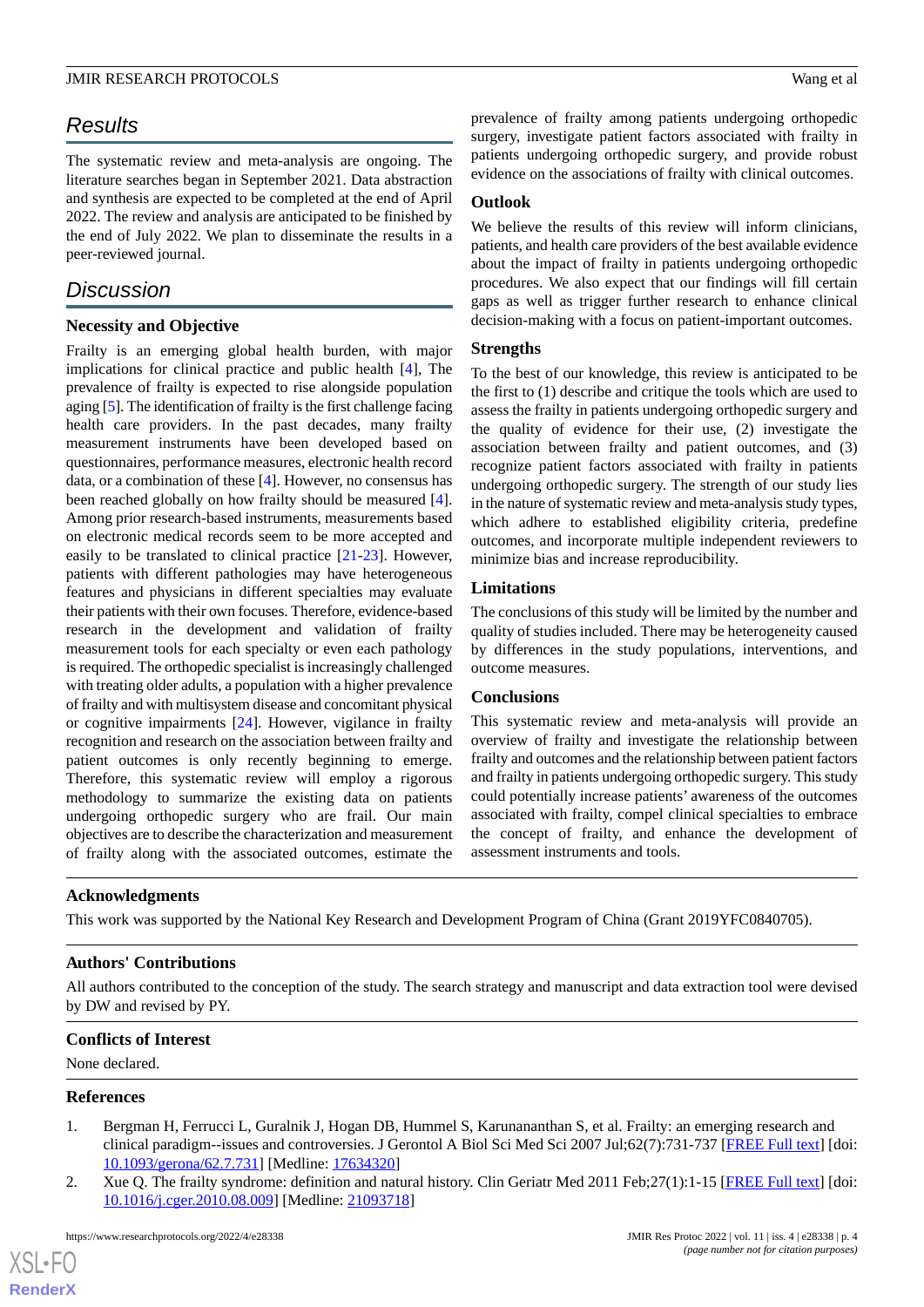# *Results*

The systematic review and meta-analysis are ongoing. The literature searches began in September 2021. Data abstraction and synthesis are expected to be completed at the end of April 2022. The review and analysis are anticipated to be finished by the end of July 2022. We plan to disseminate the results in a peer-reviewed journal.

# *Discussion*

# **Necessity and Objective**

Frailty is an emerging global health burden, with major implications for clinical practice and public health [\[4](#page-4-1)], The prevalence of frailty is expected to rise alongside population aging [\[5](#page-4-2)]. The identification of frailty is the first challenge facing health care providers. In the past decades, many frailty measurement instruments have been developed based on questionnaires, performance measures, electronic health record data, or a combination of these [[4\]](#page-4-1). However, no consensus has been reached globally on how frailty should be measured [[4\]](#page-4-1). Among prior research-based instruments, measurements based on electronic medical records seem to be more accepted and easily to be translated to clinical practice [[21-](#page-4-18)[23\]](#page-5-0). However, patients with different pathologies may have heterogeneous features and physicians in different specialties may evaluate their patients with their own focuses. Therefore, evidence-based research in the development and validation of frailty measurement tools for each specialty or even each pathology is required. The orthopedic specialist is increasingly challenged with treating older adults, a population with a higher prevalence of frailty and with multisystem disease and concomitant physical or cognitive impairments [[24\]](#page-5-1). However, vigilance in frailty recognition and research on the association between frailty and patient outcomes is only recently beginning to emerge. Therefore, this systematic review will employ a rigorous methodology to summarize the existing data on patients undergoing orthopedic surgery who are frail. Our main objectives are to describe the characterization and measurement of frailty along with the associated outcomes, estimate the prevalence of frailty among patients undergoing orthopedic surgery, investigate patient factors associated with frailty in patients undergoing orthopedic surgery, and provide robust evidence on the associations of frailty with clinical outcomes.

#### **Outlook**

We believe the results of this review will inform clinicians, patients, and health care providers of the best available evidence about the impact of frailty in patients undergoing orthopedic procedures. We also expect that our findings will fill certain gaps as well as trigger further research to enhance clinical decision-making with a focus on patient-important outcomes.

#### **Strengths**

To the best of our knowledge, this review is anticipated to be the first to (1) describe and critique the tools which are used to assess the frailty in patients undergoing orthopedic surgery and the quality of evidence for their use, (2) investigate the association between frailty and patient outcomes, and (3) recognize patient factors associated with frailty in patients undergoing orthopedic surgery. The strength of our study lies in the nature of systematic review and meta-analysis study types, which adhere to established eligibility criteria, predefine outcomes, and incorporate multiple independent reviewers to minimize bias and increase reproducibility.

## **Limitations**

The conclusions of this study will be limited by the number and quality of studies included. There may be heterogeneity caused by differences in the study populations, interventions, and outcome measures.

#### **Conclusions**

This systematic review and meta-analysis will provide an overview of frailty and investigate the relationship between frailty and outcomes and the relationship between patient factors and frailty in patients undergoing orthopedic surgery. This study could potentially increase patients' awareness of the outcomes associated with frailty, compel clinical specialties to embrace the concept of frailty, and enhance the development of assessment instruments and tools.

#### **Acknowledgments**

This work was supported by the National Key Research and Development Program of China (Grant 2019YFC0840705).

# **Authors' Contributions**

<span id="page-3-0"></span>All authors contributed to the conception of the study. The search strategy and manuscript and data extraction tool were devised by DW and revised by PY.

#### **Conflicts of Interest**

None declared.

#### **References**

 $XS$ -FO **[RenderX](http://www.renderx.com/)**

- 1. Bergman H, Ferrucci L, Guralnik J, Hogan DB, Hummel S, Karunananthan S, et al. Frailty: an emerging research and clinical paradigm--issues and controversies. J Gerontol A Biol Sci Med Sci 2007 Jul;62(7):731-737 [\[FREE Full text](http://europepmc.org/abstract/MED/17634320)] [doi: [10.1093/gerona/62.7.731\]](http://dx.doi.org/10.1093/gerona/62.7.731) [Medline: [17634320\]](http://www.ncbi.nlm.nih.gov/entrez/query.fcgi?cmd=Retrieve&db=PubMed&list_uids=17634320&dopt=Abstract)
- 2. Xue Q. The frailty syndrome: definition and natural history. Clin Geriatr Med 2011 Feb; 27(1): 1-15 [[FREE Full text](http://europepmc.org/abstract/MED/21093718)] [doi: [10.1016/j.cger.2010.08.009](http://dx.doi.org/10.1016/j.cger.2010.08.009)] [Medline: [21093718](http://www.ncbi.nlm.nih.gov/entrez/query.fcgi?cmd=Retrieve&db=PubMed&list_uids=21093718&dopt=Abstract)]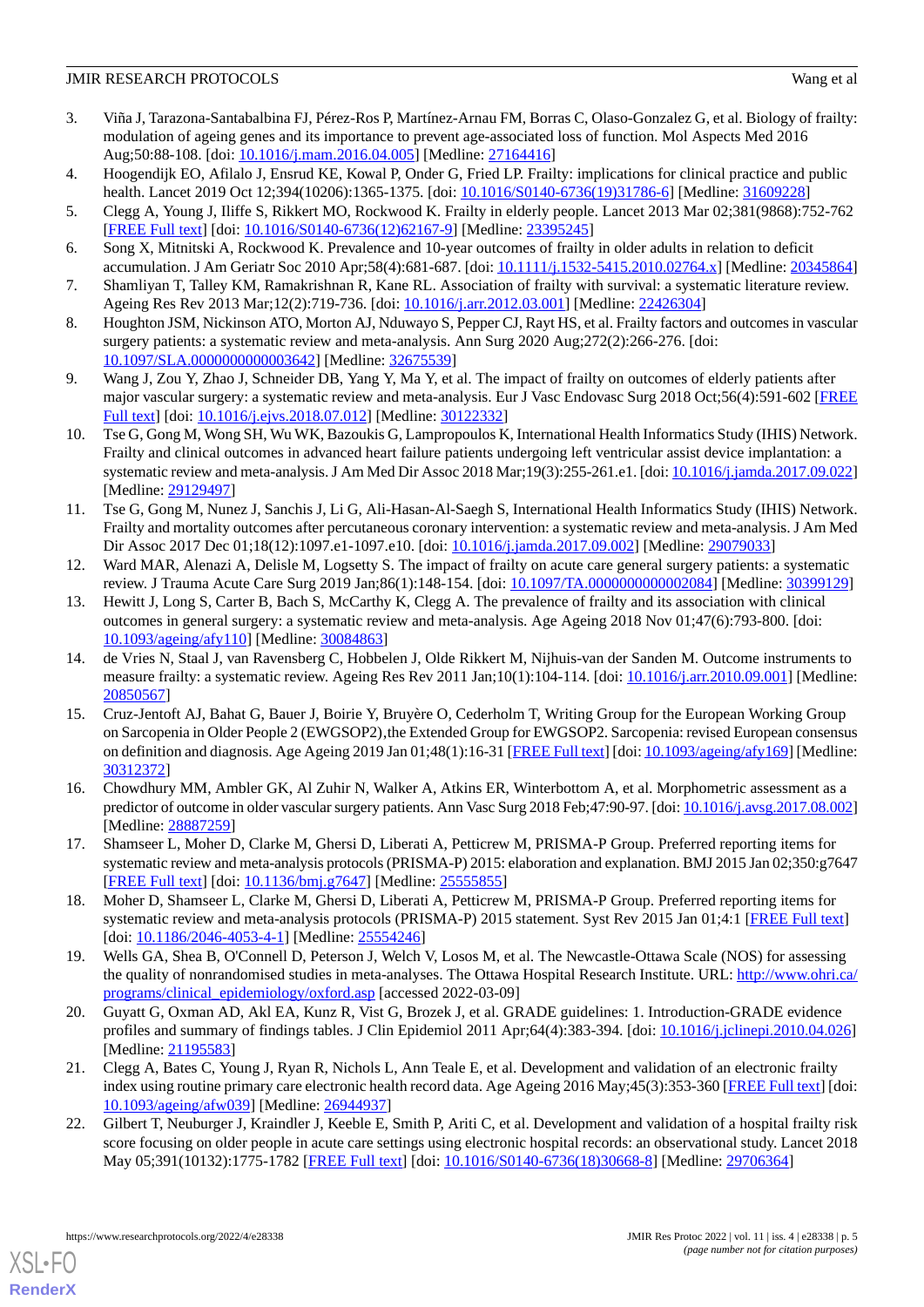- <span id="page-4-0"></span>3. Viña J, Tarazona-Santabalbina FJ, Pérez-Ros P, Martínez-Arnau FM, Borras C, Olaso-Gonzalez G, et al. Biology of frailty: modulation of ageing genes and its importance to prevent age-associated loss of function. Mol Aspects Med 2016 Aug;50:88-108. [doi: [10.1016/j.mam.2016.04.005](http://dx.doi.org/10.1016/j.mam.2016.04.005)] [Medline: [27164416\]](http://www.ncbi.nlm.nih.gov/entrez/query.fcgi?cmd=Retrieve&db=PubMed&list_uids=27164416&dopt=Abstract)
- <span id="page-4-1"></span>4. Hoogendijk EO, Afilalo J, Ensrud KE, Kowal P, Onder G, Fried LP. Frailty: implications for clinical practice and public health. Lancet 2019 Oct 12;394(10206):1365-1375. [doi: [10.1016/S0140-6736\(19\)31786-6](http://dx.doi.org/10.1016/S0140-6736(19)31786-6)] [Medline: [31609228\]](http://www.ncbi.nlm.nih.gov/entrez/query.fcgi?cmd=Retrieve&db=PubMed&list_uids=31609228&dopt=Abstract)
- <span id="page-4-3"></span><span id="page-4-2"></span>5. Clegg A, Young J, Iliffe S, Rikkert MO, Rockwood K. Frailty in elderly people. Lancet 2013 Mar 02;381(9868):752-762 [[FREE Full text](http://europepmc.org/abstract/MED/23395245)] [doi: [10.1016/S0140-6736\(12\)62167-9\]](http://dx.doi.org/10.1016/S0140-6736(12)62167-9) [Medline: [23395245](http://www.ncbi.nlm.nih.gov/entrez/query.fcgi?cmd=Retrieve&db=PubMed&list_uids=23395245&dopt=Abstract)]
- <span id="page-4-4"></span>6. Song X, Mitnitski A, Rockwood K. Prevalence and 10-year outcomes of frailty in older adults in relation to deficit accumulation. J Am Geriatr Soc 2010 Apr;58(4):681-687. [doi: [10.1111/j.1532-5415.2010.02764.x](http://dx.doi.org/10.1111/j.1532-5415.2010.02764.x)] [Medline: [20345864](http://www.ncbi.nlm.nih.gov/entrez/query.fcgi?cmd=Retrieve&db=PubMed&list_uids=20345864&dopt=Abstract)]
- <span id="page-4-5"></span>7. Shamliyan T, Talley KM, Ramakrishnan R, Kane RL. Association of frailty with survival: a systematic literature review. Ageing Res Rev 2013 Mar;12(2):719-736. [doi: [10.1016/j.arr.2012.03.001](http://dx.doi.org/10.1016/j.arr.2012.03.001)] [Medline: [22426304\]](http://www.ncbi.nlm.nih.gov/entrez/query.fcgi?cmd=Retrieve&db=PubMed&list_uids=22426304&dopt=Abstract)
- <span id="page-4-6"></span>8. Houghton JSM, Nickinson ATO, Morton AJ, Nduwayo S, Pepper CJ, Rayt HS, et al. Frailty factors and outcomes in vascular surgery patients: a systematic review and meta-analysis. Ann Surg 2020 Aug;272(2):266-276. [doi: [10.1097/SLA.0000000000003642](http://dx.doi.org/10.1097/SLA.0000000000003642)] [Medline: [32675539\]](http://www.ncbi.nlm.nih.gov/entrez/query.fcgi?cmd=Retrieve&db=PubMed&list_uids=32675539&dopt=Abstract)
- <span id="page-4-7"></span>9. Wang J, Zou Y, Zhao J, Schneider DB, Yang Y, Ma Y, et al. The impact of frailty on outcomes of elderly patients after major vascular surgery: a systematic review and meta-analysis. Eur J Vasc Endovasc Surg 2018 Oct;56(4):591-602 [\[FREE](https://linkinghub.elsevier.com/retrieve/pii/S1078-5884(18)30439-8) [Full text\]](https://linkinghub.elsevier.com/retrieve/pii/S1078-5884(18)30439-8) [doi: [10.1016/j.ejvs.2018.07.012](http://dx.doi.org/10.1016/j.ejvs.2018.07.012)] [Medline: [30122332](http://www.ncbi.nlm.nih.gov/entrez/query.fcgi?cmd=Retrieve&db=PubMed&list_uids=30122332&dopt=Abstract)]
- <span id="page-4-8"></span>10. Tse G, Gong M, Wong SH, Wu WK, Bazoukis G, Lampropoulos K, International Health Informatics Study (IHIS) Network. Frailty and clinical outcomes in advanced heart failure patients undergoing left ventricular assist device implantation: a systematic review and meta-analysis. J Am Med Dir Assoc 2018 Mar;19(3):255-261.e1. [doi: [10.1016/j.jamda.2017.09.022\]](http://dx.doi.org/10.1016/j.jamda.2017.09.022) [Medline: [29129497](http://www.ncbi.nlm.nih.gov/entrez/query.fcgi?cmd=Retrieve&db=PubMed&list_uids=29129497&dopt=Abstract)]
- <span id="page-4-9"></span>11. Tse G, Gong M, Nunez J, Sanchis J, Li G, Ali-Hasan-Al-Saegh S, International Health Informatics Study (IHIS) Network. Frailty and mortality outcomes after percutaneous coronary intervention: a systematic review and meta-analysis. J Am Med Dir Assoc 2017 Dec 01;18(12):1097.e1-1097.e10. [doi: [10.1016/j.jamda.2017.09.002\]](http://dx.doi.org/10.1016/j.jamda.2017.09.002) [Medline: [29079033](http://www.ncbi.nlm.nih.gov/entrez/query.fcgi?cmd=Retrieve&db=PubMed&list_uids=29079033&dopt=Abstract)]
- <span id="page-4-10"></span>12. Ward MAR, Alenazi A, Delisle M, Logsetty S. The impact of frailty on acute care general surgery patients: a systematic review. J Trauma Acute Care Surg 2019 Jan;86(1):148-154. [doi: [10.1097/TA.0000000000002084](http://dx.doi.org/10.1097/TA.0000000000002084)] [Medline: [30399129\]](http://www.ncbi.nlm.nih.gov/entrez/query.fcgi?cmd=Retrieve&db=PubMed&list_uids=30399129&dopt=Abstract)
- <span id="page-4-11"></span>13. Hewitt J, Long S, Carter B, Bach S, McCarthy K, Clegg A. The prevalence of frailty and its association with clinical outcomes in general surgery: a systematic review and meta-analysis. Age Ageing 2018 Nov 01;47(6):793-800. [doi: [10.1093/ageing/afy110](http://dx.doi.org/10.1093/ageing/afy110)] [Medline: [30084863\]](http://www.ncbi.nlm.nih.gov/entrez/query.fcgi?cmd=Retrieve&db=PubMed&list_uids=30084863&dopt=Abstract)
- <span id="page-4-12"></span>14. de Vries N, Staal J, van Ravensberg C, Hobbelen J, Olde Rikkert M, Nijhuis-van der Sanden M. Outcome instruments to measure frailty: a systematic review. Ageing Res Rev 2011 Jan;10(1):104-114. [doi: [10.1016/j.arr.2010.09.001\]](http://dx.doi.org/10.1016/j.arr.2010.09.001) [Medline: [20850567](http://www.ncbi.nlm.nih.gov/entrez/query.fcgi?cmd=Retrieve&db=PubMed&list_uids=20850567&dopt=Abstract)]
- <span id="page-4-13"></span>15. Cruz-Jentoft AJ, Bahat G, Bauer J, Boirie Y, Bruyère O, Cederholm T, Writing Group for the European Working Group on Sarcopenia in Older People 2 (EWGSOP2), the Extended Group for EWGSOP2. Sarcopenia: revised European consensus on definition and diagnosis. Age Ageing 2019 Jan 01;48(1):16-31 [\[FREE Full text\]](http://europepmc.org/abstract/MED/30312372) [doi: [10.1093/ageing/afy169](http://dx.doi.org/10.1093/ageing/afy169)] [Medline: [30312372](http://www.ncbi.nlm.nih.gov/entrez/query.fcgi?cmd=Retrieve&db=PubMed&list_uids=30312372&dopt=Abstract)]
- <span id="page-4-15"></span><span id="page-4-14"></span>16. Chowdhury MM, Ambler GK, Al Zuhir N, Walker A, Atkins ER, Winterbottom A, et al. Morphometric assessment as a predictor of outcome in older vascular surgery patients. Ann Vasc Surg 2018 Feb;47:90-97. [doi: [10.1016/j.avsg.2017.08.002\]](http://dx.doi.org/10.1016/j.avsg.2017.08.002) [Medline: [28887259](http://www.ncbi.nlm.nih.gov/entrez/query.fcgi?cmd=Retrieve&db=PubMed&list_uids=28887259&dopt=Abstract)]
- <span id="page-4-16"></span>17. Shamseer L, Moher D, Clarke M, Ghersi D, Liberati A, Petticrew M, PRISMA-P Group. Preferred reporting items for systematic review and meta-analysis protocols (PRISMA-P) 2015: elaboration and explanation. BMJ 2015 Jan 02;350:g7647 [[FREE Full text](http://www.bmj.com/lookup/pmidlookup?view=long&pmid=25555855)] [doi: [10.1136/bmj.g7647\]](http://dx.doi.org/10.1136/bmj.g7647) [Medline: [25555855\]](http://www.ncbi.nlm.nih.gov/entrez/query.fcgi?cmd=Retrieve&db=PubMed&list_uids=25555855&dopt=Abstract)
- <span id="page-4-17"></span>18. Moher D, Shamseer L, Clarke M, Ghersi D, Liberati A, Petticrew M, PRISMA-P Group. Preferred reporting items for systematic review and meta-analysis protocols (PRISMA-P) 2015 statement. Syst Rev 2015 Jan 01;4:1 [[FREE Full text\]](https://systematicreviewsjournal.biomedcentral.com/articles/10.1186/2046-4053-4-1) [doi: [10.1186/2046-4053-4-1](http://dx.doi.org/10.1186/2046-4053-4-1)] [Medline: [25554246\]](http://www.ncbi.nlm.nih.gov/entrez/query.fcgi?cmd=Retrieve&db=PubMed&list_uids=25554246&dopt=Abstract)
- <span id="page-4-18"></span>19. Wells GA, Shea B, O'Connell D, Peterson J, Welch V, Losos M, et al. The Newcastle-Ottawa Scale (NOS) for assessing the quality of nonrandomised studies in meta-analyses. The Ottawa Hospital Research Institute. URL: [http://www.ohri.ca/](http://www.ohri.ca/programs/clinical_epidemiology/oxford.asp) [programs/clinical\\_epidemiology/oxford.asp](http://www.ohri.ca/programs/clinical_epidemiology/oxford.asp) [accessed 2022-03-09]
- 20. Guyatt G, Oxman AD, Akl EA, Kunz R, Vist G, Brozek J, et al. GRADE guidelines: 1. Introduction-GRADE evidence profiles and summary of findings tables. J Clin Epidemiol 2011 Apr;64(4):383-394. [doi: [10.1016/j.jclinepi.2010.04.026\]](http://dx.doi.org/10.1016/j.jclinepi.2010.04.026) [Medline: [21195583](http://www.ncbi.nlm.nih.gov/entrez/query.fcgi?cmd=Retrieve&db=PubMed&list_uids=21195583&dopt=Abstract)]
- 21. Clegg A, Bates C, Young J, Ryan R, Nichols L, Ann Teale E, et al. Development and validation of an electronic frailty index using routine primary care electronic health record data. Age Ageing 2016 May;45(3):353-360 [\[FREE Full text\]](http://europepmc.org/abstract/MED/26944937) [doi: [10.1093/ageing/afw039](http://dx.doi.org/10.1093/ageing/afw039)] [Medline: [26944937](http://www.ncbi.nlm.nih.gov/entrez/query.fcgi?cmd=Retrieve&db=PubMed&list_uids=26944937&dopt=Abstract)]
- 22. Gilbert T, Neuburger J, Kraindler J, Keeble E, Smith P, Ariti C, et al. Development and validation of a hospital frailty risk score focusing on older people in acute care settings using electronic hospital records: an observational study. Lancet 2018 May 05;391(10132):1775-1782 [[FREE Full text](https://linkinghub.elsevier.com/retrieve/pii/S0140-6736(18)30668-8)] [doi: [10.1016/S0140-6736\(18\)30668-8](http://dx.doi.org/10.1016/S0140-6736(18)30668-8)] [Medline: [29706364](http://www.ncbi.nlm.nih.gov/entrez/query.fcgi?cmd=Retrieve&db=PubMed&list_uids=29706364&dopt=Abstract)]

[XSL](http://www.w3.org/Style/XSL)•FO **[RenderX](http://www.renderx.com/)**